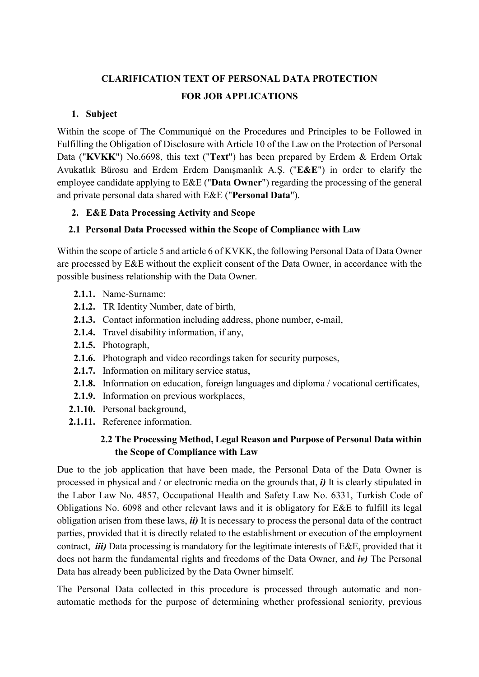# **CLARIFICATION TEXT OF PERSONAL DATA PROTECTION FOR JOB APPLICATIONS**

#### **1. Subject**

Within the scope of The Communiqué on the Procedures and Principles to be Followed in Fulfilling the Obligation of Disclosure with Article 10 of the Law on the Protection of Personal Data ("**KVKK**") No.6698, this text ("**Text**") has been prepared by Erdem & Erdem Ortak Avukatlık Bürosu and Erdem Erdem Danışmanlık A.Ş. ("**E&E**") in order to clarify the employee candidate applying to E&E ("**Data Owner**") regarding the processing of the general and private personal data shared with E&E ("**Personal Data**").

#### **2. E&E Data Processing Activity and Scope**

### **2.1 Personal Data Processed within the Scope of Compliance with Law**

Within the scope of article 5 and article 6 of KVKK, the following Personal Data of Data Owner are processed by E&E without the explicit consent of the Data Owner, in accordance with the possible business relationship with the Data Owner.

- **2.1.1.** Name-Surname:
- **2.1.2.** TR Identity Number, date of birth,
- **2.1.3.** Contact information including address, phone number, e-mail,
- **2.1.4.** Travel disability information, if any,
- **2.1.5.** Photograph,
- **2.1.6.** Photograph and video recordings taken for security purposes,
- **2.1.7.** Information on military service status,
- **2.1.8.** Information on education, foreign languages and diploma / vocational certificates,
- **2.1.9.** Information on previous workplaces,
- **2.1.10.** Personal background,
- **2.1.11.** Reference information.

### **2.2 The Processing Method, Legal Reason and Purpose of Personal Data within the Scope of Compliance with Law**

Due to the job application that have been made, the Personal Data of the Data Owner is processed in physical and / or electronic media on the grounds that, *i)* It is clearly stipulated in the Labor Law No. 4857, Occupational Health and Safety Law No. 6331, Turkish Code of Obligations No. 6098 and other relevant laws and it is obligatory for E&E to fulfill its legal obligation arisen from these laws, *ii)* It is necessary to process the personal data of the contract parties, provided that it is directly related to the establishment or execution of the employment contract, *iii)* Data processing is mandatory for the legitimate interests of E&E, provided that it does not harm the fundamental rights and freedoms of the Data Owner, and *iv)* The Personal Data has already been publicized by the Data Owner himself.

The Personal Data collected in this procedure is processed through automatic and nonautomatic methods for the purpose of determining whether professional seniority, previous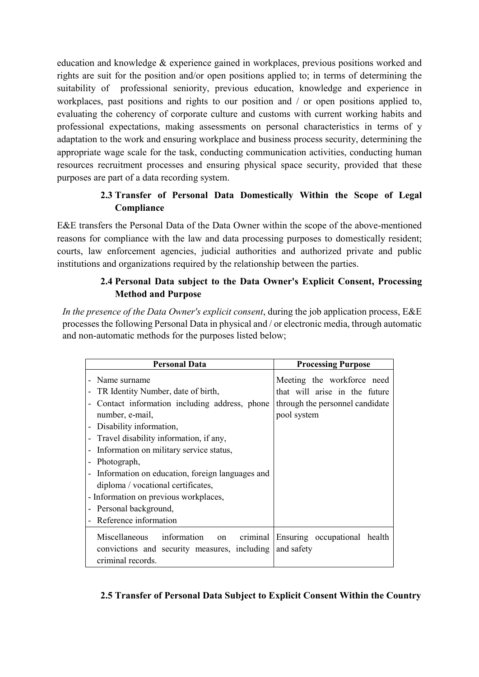education and knowledge & experience gained in workplaces, previous positions worked and rights are suit for the position and/or open positions applied to; in terms of determining the suitability of professional seniority, previous education, knowledge and experience in workplaces, past positions and rights to our position and / or open positions applied to, evaluating the coherency of corporate culture and customs with current working habits and professional expectations, making assessments on personal characteristics in terms of y adaptation to the work and ensuring workplace and business process security, determining the appropriate wage scale for the task, conducting communication activities, conducting human resources recruitment processes and ensuring physical space security, provided that these purposes are part of a data recording system.

# **2.3 Transfer of Personal Data Domestically Within the Scope of Legal Compliance**

E&E transfers the Personal Data of the Data Owner within the scope of the above-mentioned reasons for compliance with the law and data processing purposes to domestically resident; courts, law enforcement agencies, judicial authorities and authorized private and public institutions and organizations required by the relationship between the parties.

# **2.4 Personal Data subject to the Data Owner's Explicit Consent, Processing Method and Purpose**

*In the presence of the Data Owner's explicit consent*, during the job application process, E&E processes the following Personal Data in physical and / or electronic media, through automatic and non-automatic methods for the purposes listed below;

| <b>Personal Data</b>                                                                                                                                                                                                                                                                                                                                                                                                                    | <b>Processing Purpose</b>                                                                                     |
|-----------------------------------------------------------------------------------------------------------------------------------------------------------------------------------------------------------------------------------------------------------------------------------------------------------------------------------------------------------------------------------------------------------------------------------------|---------------------------------------------------------------------------------------------------------------|
| Name surname<br>TR Identity Number, date of birth,<br>Contact information including address, phone<br>number, e-mail,<br>Disability information,<br>Travel disability information, if any,<br>Information on military service status,<br>Photograph,<br>Information on education, foreign languages and<br>diploma / vocational certificates,<br>- Information on previous workplaces,<br>Personal background,<br>Reference information | Meeting the workforce need<br>that will arise in the future<br>through the personnel candidate<br>pool system |
| <b>Miscellaneous</b><br>information<br>on<br>convictions and security measures, including<br>criminal records.                                                                                                                                                                                                                                                                                                                          | criminal Ensuring occupational health<br>and safety                                                           |

### **2.5 Transfer of Personal Data Subject to Explicit Consent Within the Country**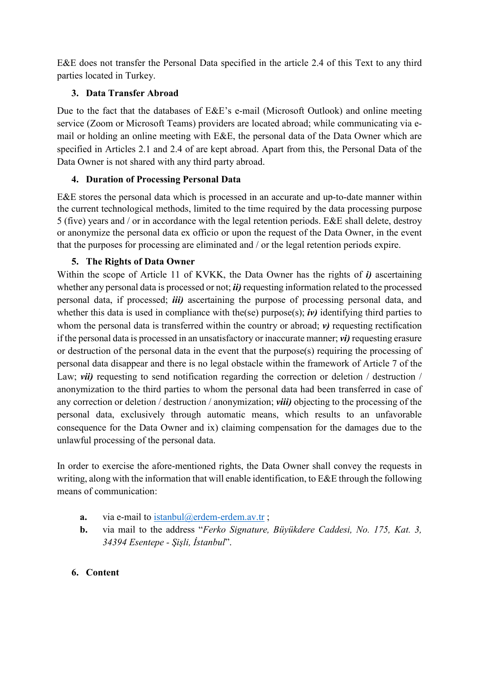E&E does not transfer the Personal Data specified in the article 2.4 of this Text to any third parties located in Turkey.

# **3. Data Transfer Abroad**

Due to the fact that the databases of E&E's e-mail (Microsoft Outlook) and online meeting service (Zoom or Microsoft Teams) providers are located abroad; while communicating via email or holding an online meeting with E&E, the personal data of the Data Owner which are specified in Articles 2.1 and 2.4 of are kept abroad. Apart from this, the Personal Data of the Data Owner is not shared with any third party abroad.

# **4. Duration of Processing Personal Data**

E&E stores the personal data which is processed in an accurate and up-to-date manner within the current technological methods, limited to the time required by the data processing purpose 5 (five) years and / or in accordance with the legal retention periods. E&E shall delete, destroy or anonymize the personal data ex officio or upon the request of the Data Owner, in the event that the purposes for processing are eliminated and / or the legal retention periods expire.

# **5. The Rights of Data Owner**

Within the scope of Article 11 of KVKK, the Data Owner has the rights of *i)* ascertaining whether any personal data is processed or not; *ii)* requesting information related to the processed personal data, if processed; *iii)* ascertaining the purpose of processing personal data, and whether this data is used in compliance with the(se) purpose(s); *iv*) identifying third parties to whom the personal data is transferred within the country or abroad; *v*) requesting rectification if the personal data is processed in an unsatisfactory or inaccurate manner; *vi)* requesting erasure or destruction of the personal data in the event that the purpose(s) requiring the processing of personal data disappear and there is no legal obstacle within the framework of Article 7 of the Law; *vii*) requesting to send notification regarding the correction or deletion / destruction / anonymization to the third parties to whom the personal data had been transferred in case of any correction or deletion / destruction / anonymization; *viii)* objecting to the processing of the personal data, exclusively through automatic means, which results to an unfavorable consequence for the Data Owner and ix) claiming compensation for the damages due to the unlawful processing of the personal data.

In order to exercise the afore-mentioned rights, the Data Owner shall convey the requests in writing, along with the information that will enable identification, to E&E through the following means of communication:

- **a.** via e-mail to [istanbul@erdem-erdem.av.tr](mailto:istanbul@erdem-erdem.av.tr);
- **b.** via mail to the address "*Ferko Signature, Büyükdere Caddesi, No. 175, Kat. 3, 34394 Esentepe - Şişli, İstanbul*".

### **6. Content**